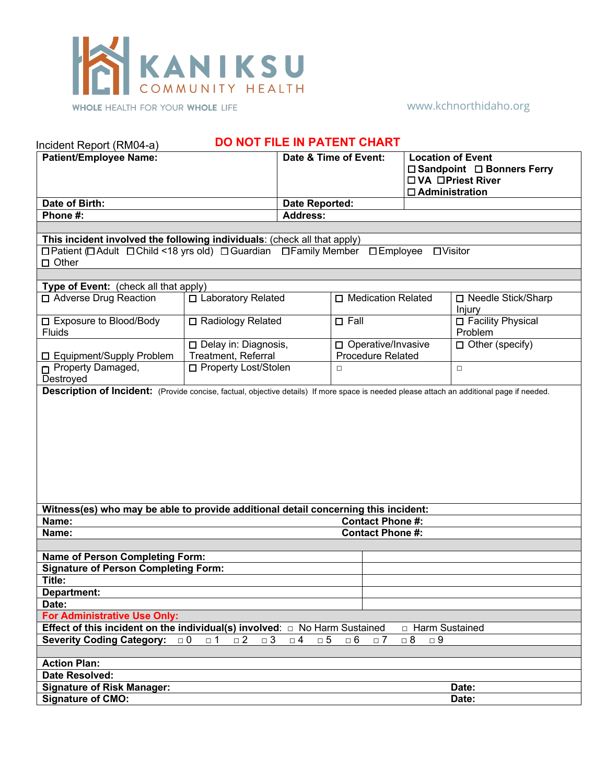

www.kchnorthidaho.org

| DO NOT FILE IN PATENT CHART<br>Incident Report (RM04-a)                                                                                                                      |                                                                                                                                                                 |                       |                                                                                                                                                      |                                                                                                         |                                |  |  |
|------------------------------------------------------------------------------------------------------------------------------------------------------------------------------|-----------------------------------------------------------------------------------------------------------------------------------------------------------------|-----------------------|------------------------------------------------------------------------------------------------------------------------------------------------------|---------------------------------------------------------------------------------------------------------|--------------------------------|--|--|
| <b>Patient/Employee Name:</b>                                                                                                                                                |                                                                                                                                                                 | Date & Time of Event: |                                                                                                                                                      | <b>Location of Event</b><br>□ Sandpoint □ Bonners Ferry<br>□ VA □ Priest River<br>$\Box$ Administration |                                |  |  |
| Date of Birth:                                                                                                                                                               |                                                                                                                                                                 | Date Reported:        |                                                                                                                                                      |                                                                                                         |                                |  |  |
| Phone #:                                                                                                                                                                     |                                                                                                                                                                 | <b>Address:</b>       |                                                                                                                                                      |                                                                                                         |                                |  |  |
|                                                                                                                                                                              |                                                                                                                                                                 |                       |                                                                                                                                                      |                                                                                                         |                                |  |  |
| This incident involved the following individuals: (check all that apply)<br>ロPatient (ロAdult ロChild <18 yrs old) ロGuardian ロFamily Member ロEmployee ロVisitor<br>$\Box$ Other |                                                                                                                                                                 |                       |                                                                                                                                                      |                                                                                                         |                                |  |  |
| Type of Event: (check all that apply)                                                                                                                                        |                                                                                                                                                                 |                       |                                                                                                                                                      |                                                                                                         |                                |  |  |
| □ Adverse Drug Reaction                                                                                                                                                      | □ Laboratory Related                                                                                                                                            |                       | □ Medication Related                                                                                                                                 |                                                                                                         | □ Needle Stick/Sharp<br>Injury |  |  |
| □ Exposure to Blood/Body<br><b>Fluids</b>                                                                                                                                    | □ Radiology Related                                                                                                                                             |                       | $\square$ Fall                                                                                                                                       |                                                                                                         | □ Facility Physical<br>Problem |  |  |
| □ Equipment/Supply Problem                                                                                                                                                   | Delay in: Diagnosis,<br><b>Treatment, Referral</b>                                                                                                              |                       | □ Operative/Invasive<br><b>Procedure Related</b>                                                                                                     |                                                                                                         | $\Box$ Other (specify)         |  |  |
| Property Damaged,<br>Destroyed                                                                                                                                               | □ Property Lost/Stolen                                                                                                                                          |                       | $\Box$<br>Description of Incident: (Provide concise, factual, objective details) If more space is needed please attach an additional page if needed. |                                                                                                         | $\Box$                         |  |  |
|                                                                                                                                                                              |                                                                                                                                                                 |                       |                                                                                                                                                      |                                                                                                         |                                |  |  |
|                                                                                                                                                                              |                                                                                                                                                                 |                       |                                                                                                                                                      |                                                                                                         |                                |  |  |
| Witness(es) who may be able to provide additional detail concerning this incident:<br>Name:<br><b>Contact Phone #:</b>                                                       |                                                                                                                                                                 |                       |                                                                                                                                                      |                                                                                                         |                                |  |  |
| <b>Contact Phone #:</b><br>Name:                                                                                                                                             |                                                                                                                                                                 |                       |                                                                                                                                                      |                                                                                                         |                                |  |  |
|                                                                                                                                                                              |                                                                                                                                                                 |                       |                                                                                                                                                      |                                                                                                         |                                |  |  |
| <b>Name of Person Completing Form:</b>                                                                                                                                       |                                                                                                                                                                 |                       |                                                                                                                                                      |                                                                                                         |                                |  |  |
| <b>Signature of Person Completing Form:</b>                                                                                                                                  |                                                                                                                                                                 |                       |                                                                                                                                                      |                                                                                                         |                                |  |  |
| Title:                                                                                                                                                                       |                                                                                                                                                                 |                       |                                                                                                                                                      |                                                                                                         |                                |  |  |
| Department:                                                                                                                                                                  |                                                                                                                                                                 |                       |                                                                                                                                                      |                                                                                                         |                                |  |  |
| Date:                                                                                                                                                                        |                                                                                                                                                                 |                       |                                                                                                                                                      |                                                                                                         |                                |  |  |
| <b>For Administrative Use Only:</b>                                                                                                                                          |                                                                                                                                                                 |                       |                                                                                                                                                      |                                                                                                         |                                |  |  |
| <b>Severity Coding Category:</b>                                                                                                                                             | Effect of this incident on the individual(s) involved: $\Box$ No Harm Sustained<br>□ Harm Sustained<br>$\Box$ 2<br>$\Box$ 3<br>$\Box$ 8<br>$\Box$ 5<br>$\Box$ 0 |                       |                                                                                                                                                      |                                                                                                         |                                |  |  |
|                                                                                                                                                                              | $\square$ 1                                                                                                                                                     | $\Box$ 4              | $\Box$ 6<br>$\Box$ 7                                                                                                                                 | $\Box$ 9                                                                                                |                                |  |  |
| <b>Action Plan:</b>                                                                                                                                                          |                                                                                                                                                                 |                       |                                                                                                                                                      |                                                                                                         |                                |  |  |
| <b>Date Resolved:</b>                                                                                                                                                        |                                                                                                                                                                 |                       |                                                                                                                                                      |                                                                                                         |                                |  |  |
| <b>Signature of Risk Manager:</b>                                                                                                                                            |                                                                                                                                                                 | Date:                 |                                                                                                                                                      |                                                                                                         |                                |  |  |
| <b>Signature of CMO:</b>                                                                                                                                                     |                                                                                                                                                                 |                       |                                                                                                                                                      | Date:                                                                                                   |                                |  |  |
|                                                                                                                                                                              |                                                                                                                                                                 |                       |                                                                                                                                                      |                                                                                                         |                                |  |  |